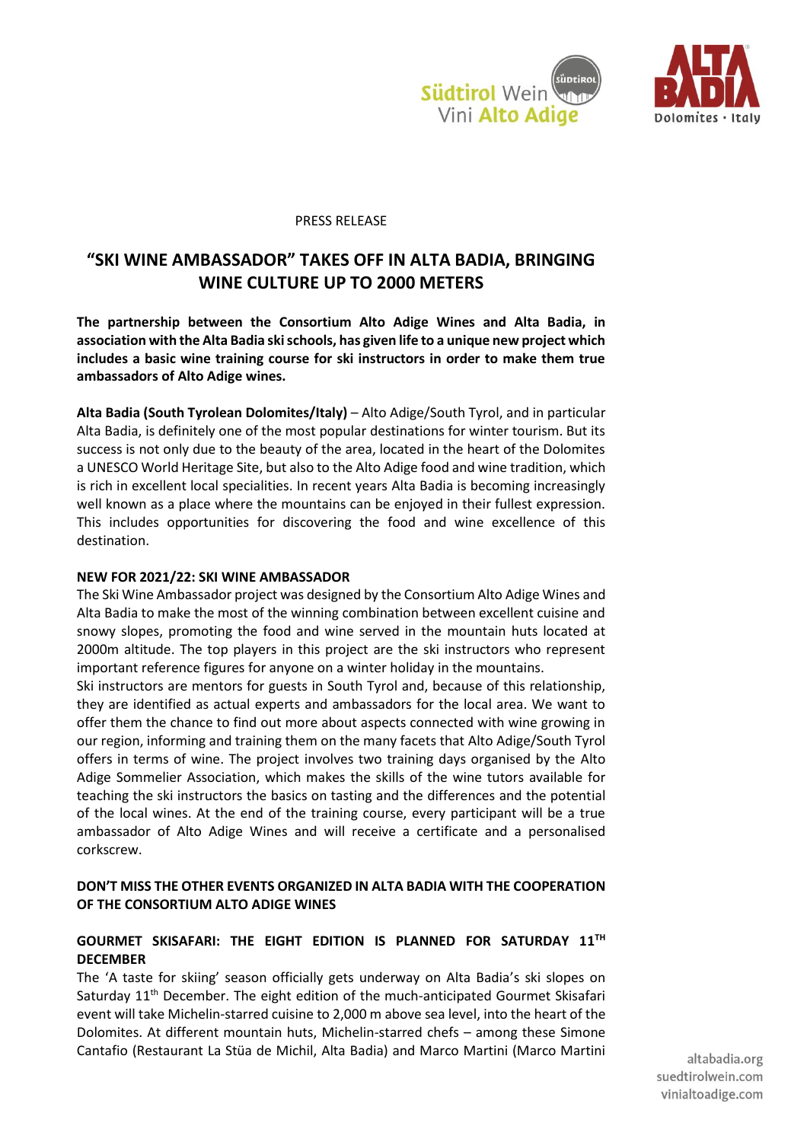



### PRESS RELEASE

# **"SKI WINE AMBASSADOR" TAKES OFF IN ALTA BADIA, BRINGING WINE CULTURE UP TO 2000 METERS**

**The partnership between the Consortium Alto Adige Wines and Alta Badia, in association with the Alta Badia ski schools, has given life to a unique new project which includes a basic wine training course for ski instructors in order to make them true ambassadors of Alto Adige wines.** 

**Alta Badia (South Tyrolean Dolomites/Italy)** – Alto Adige/South Tyrol, and in particular Alta Badia, is definitely one of the most popular destinations for winter tourism. But its success is not only due to the beauty of the area, located in the heart of the Dolomites a UNESCO World Heritage Site, but also to the Alto Adige food and wine tradition, which is rich in excellent local specialities. In recent years Alta Badia is becoming increasingly well known as a place where the mountains can be enjoyed in their fullest expression. This includes opportunities for discovering the food and wine excellence of this destination.

#### **NEW FOR 2021/22: SKI WINE AMBASSADOR**

The Ski Wine Ambassador project was designed by the Consortium Alto Adige Wines and Alta Badia to make the most of the winning combination between excellent cuisine and snowy slopes, promoting the food and wine served in the mountain huts located at 2000m altitude. The top players in this project are the ski instructors who represent important reference figures for anyone on a winter holiday in the mountains.

Ski instructors are mentors for guests in South Tyrol and, because of this relationship, they are identified as actual experts and ambassadors for the local area. We want to offer them the chance to find out more about aspects connected with wine growing in our region, informing and training them on the many facets that Alto Adige/South Tyrol offers in terms of wine. The project involves two training days organised by the Alto Adige Sommelier Association, which makes the skills of the wine tutors available for teaching the ski instructors the basics on tasting and the differences and the potential of the local wines. At the end of the training course, every participant will be a true ambassador of Alto Adige Wines and will receive a certificate and a personalised corkscrew.

### **DON'T MISS THE OTHER EVENTS ORGANIZED IN ALTA BADIA WITH THE COOPERATION OF THE CONSORTIUM ALTO ADIGE WINES**

## **GOURMET SKISAFARI: THE EIGHT EDITION IS PLANNED FOR SATURDAY 11 TH DECEMBER**

The 'A taste for skiing' season officially gets underway on Alta Badia's ski slopes on Saturday 11<sup>th</sup> December. The eight edition of the much-anticipated Gourmet Skisafari event will take Michelin-starred cuisine to 2,000 m above sea level, into the heart of the Dolomites. At different mountain huts, Michelin-starred chefs – among these Simone Cantafio (Restaurant La Stüa de Michil, Alta Badia) and Marco Martini (Marco Martini

altabadia.org suedtirolwein.com vinialtoadige.com